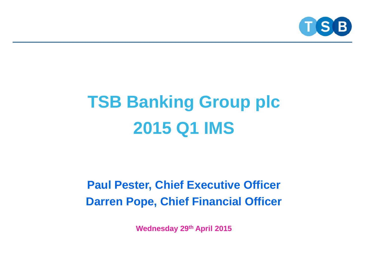

### **TSB Banking Group plc 2015 Q1 IMS**

### **Paul Pester, Chief Executive Officer Darren Pope, Chief Financial Officer**

**Wednesday 29th April 2015**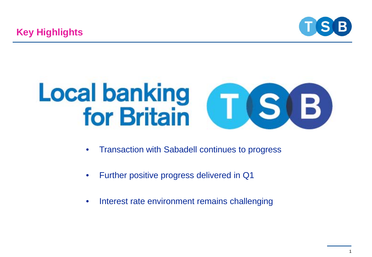

# **Local banking<br>for Britain**  $\mathbf{B}$

- Transaction with Sabadell continues to progress
- Further positive progress delivered in Q1
- Interest rate environment remains challenging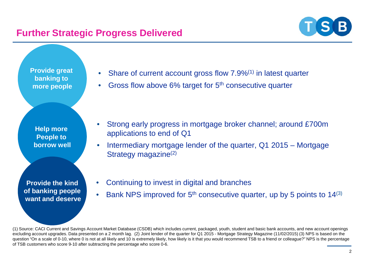#### **Further Strategic Progress Delivered**



**Provide great banking to more people**

**Help more People to borrow well**

**Provide the kind of banking people want and deserve**

- Share of current account gross flow 7.9%<sup>(1)</sup> in latest quarter
- Gross flow above 6% target for 5<sup>th</sup> consecutive quarter

- Strong early progress in mortgage broker channel; around £700m applications to end of Q1
- Intermediary mortgage lender of the quarter, Q1 2015 Mortgage Strategy magazine<sup>(2)</sup>
- Continuing to invest in digital and branches
- Bank NPS improved for  $5<sup>th</sup>$  consecutive quarter, up by 5 points to 14 $(3)$

(1) Source: CACI Current and Savings Account Market Database (CSDB) which includes current, packaged, youth, student and basic bank accounts, and new account openings excluding account upgrades. Data presented on a 2 month lag. (2) Joint lender of the quarter for Q1 2015 - Mortgage Strategy Magazine (11/02/2015) (3) NPS is based on the question "On a scale of 0-10, where 0 is not at all likely and 10 is extremely likely, how likely is it that you would recommend TSB to a friend or colleague?" NPS is the percentage of TSB customers who score 9-10 after subtracting the percentage who score 0-6.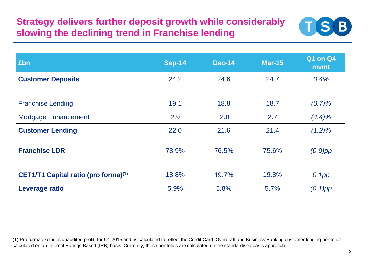#### **Strategy delivers further deposit growth while considerably slowing the declining trend in Franchise lending**



| £bn                                         | <b>Sep-14</b> | <b>Dec-14</b> | <b>Mar-15</b> | <b>Q1 on Q4</b><br>mvmt |
|---------------------------------------------|---------------|---------------|---------------|-------------------------|
| <b>Customer Deposits</b>                    | 24.2          | 24.6          | 24.7          | 0.4%                    |
| <b>Franchise Lending</b>                    | 19.1          | 18.8          | 18.7          | (0.7)%                  |
| <b>Mortgage Enhancement</b>                 | 2.9           | 2.8           | 2.7           | $(4.4)\%$               |
| <b>Customer Lending</b>                     | 22.0          | 21.6          | 21.4          | $(1.2)\%$               |
| <b>Franchise LDR</b>                        | 78.9%         | 76.5%         | 75.6%         | $(0.9)$ pp              |
| <b>CET1/T1 Capital ratio (pro forma)(1)</b> | 18.8%         | 19.7%         | 19.8%         | 0.1pp                   |
| Leverage ratio                              | 5.9%          | 5.8%          | 5.7%          | $(0.1)$ pp              |

(1) Pro forma excludes unaudited profit for Q1 2015 and is calculated to reflect the Credit Card, Overdraft and Business Banking customer lending portfolios calculated on an Internal Ratings Based (IRB) basis. Currently, these portfolios are calculated on the standardised basis approach.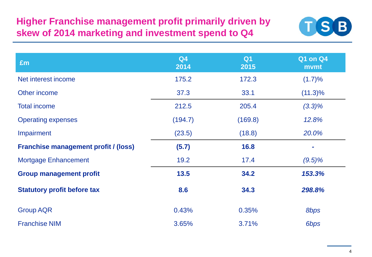#### **Higher Franchise management profit primarily driven by skew of 2014 marketing and investment spend to Q4**



| £m                                          | Q <sub>4</sub><br>2014 | Q <sub>1</sub><br>2015 | <b>Q1 on Q4</b><br>mvmt |
|---------------------------------------------|------------------------|------------------------|-------------------------|
| Net interest income                         | 175.2                  | 172.3                  | (1.7)%                  |
| Other income                                | 37.3                   | 33.1                   | $(11.3)\%$              |
| <b>Total income</b>                         | 212.5                  | 205.4                  | $(3.3)\%$               |
| <b>Operating expenses</b>                   | (194.7)                | (169.8)                | 12.8%                   |
| Impairment                                  | (23.5)                 | (18.8)                 | 20.0%                   |
| <b>Franchise management profit / (loss)</b> | (5.7)                  | 16.8                   |                         |
| <b>Mortgage Enhancement</b>                 | 19.2                   | 17.4                   | $(9.5)\%$               |
| <b>Group management profit</b>              | 13.5                   | 34.2                   | 153.3%                  |
| <b>Statutory profit before tax</b>          | 8.6                    | 34.3                   | 298.8%                  |
| <b>Group AQR</b>                            | 0.43%                  | 0.35%                  | 8bps                    |
| <b>Franchise NIM</b>                        | 3.65%                  | 3.71%                  | 6bps                    |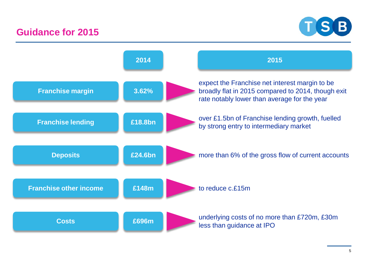#### **Guidance for 2015**



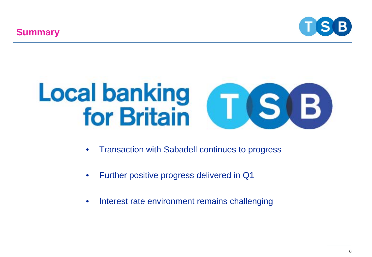**Summary**



# **Local banking<br>for Britain**  $\mathbf{B}$  )

- Transaction with Sabadell continues to progress
- Further positive progress delivered in Q1
- Interest rate environment remains challenging